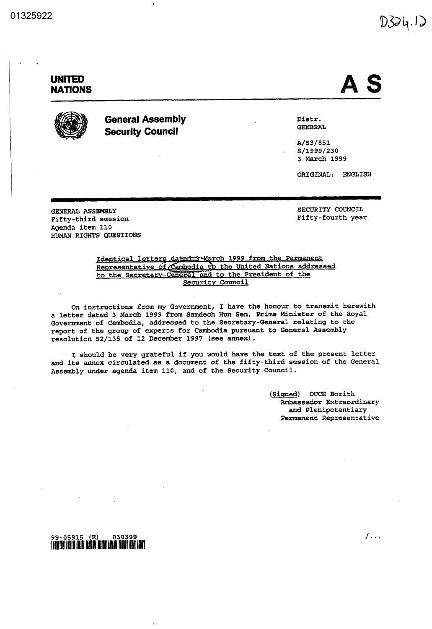# $D324.12$

## UNITED NATIONS  $\blacksquare$



GENERAL ASSEMBLY

Fifty-third session Agenda item 110

HUMAN RIGHTS QUESTIONS

### General Assembly Security Council

Distr. QENERAL

 $A/53/851$ S/1999/230 March 1999

ORIGINAL: ENGLISH

SECURITY COUNCIL<br>Fifty-fourth year

Identical letters 1999 from the Permanent Representative of Cambodia to the United Nations addressed to the Secretary General and to the President of the Security Council

On instructions from my Government, I have the honour to transmit herewith a letter dated 3 March 1999 from Samdech Hun Sen, Prime Minister of the Royal Government of Cambodia, addressed to the Secretary-General relating to the report of the group of experts for Cambodia pursuant to General Assembly resolution 52/135 of 12 December 1997 (see annex).

I should be very grateful if you would have the text of the present letter and its annex circulated as document of the fifty third session of the General Assembly under agenda item 110, and of the Security Council.

> (Signed) OUCH Borith Ambassador Extraordinary and Plenipotentiary Permanent Representative

99 05915 030399

 $1 \ldots$